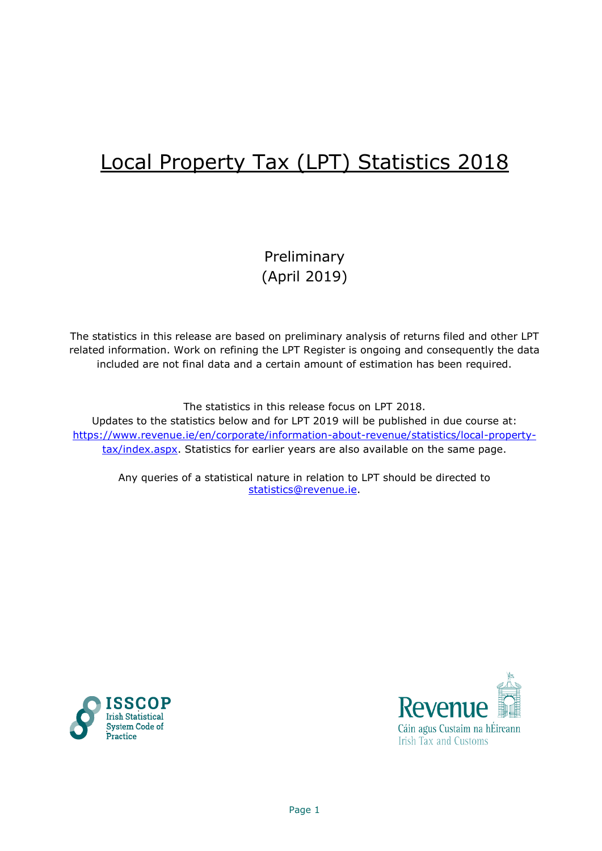# Local Property Tax (LPT) Statistics 2018

# Preliminary (April 2019)

The statistics in this release are based on preliminary analysis of returns filed and other LPT related information. Work on refining the LPT Register is ongoing and consequently the data included are not final data and a certain amount of estimation has been required.

The statistics in this release focus on LPT 2018. Updates to the statistics below and for LPT 2019 will be published in due course at: [https://www.revenue.ie/en/corporate/information-about-revenue/statistics/local-property](https://www.revenue.ie/en/corporate/information-about-revenue/statistics/local-property-tax/index.aspx)[tax/index.aspx.](https://www.revenue.ie/en/corporate/information-about-revenue/statistics/local-property-tax/index.aspx) Statistics for earlier years are also available on the same page.

Any queries of a statistical nature in relation to LPT should be directed to [statistics@revenue.ie.](mailto:statistics@revenue.ie)



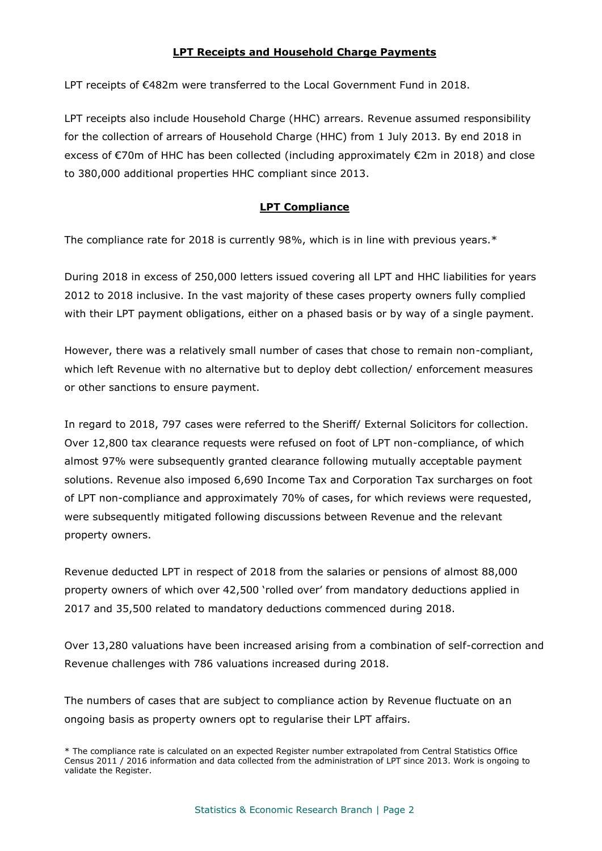#### **LPT Receipts and Household Charge Payments**

LPT receipts of €482m were transferred to the Local Government Fund in 2018.

LPT receipts also include Household Charge (HHC) arrears. Revenue assumed responsibility for the collection of arrears of Household Charge (HHC) from 1 July 2013. By end 2018 in excess of €70m of HHC has been collected (including approximately €2m in 2018) and close to 380,000 additional properties HHC compliant since 2013.

#### **LPT Compliance**

The compliance rate for 2018 is currently 98%, which is in line with previous years. $*$ 

During 2018 in excess of 250,000 letters issued covering all LPT and HHC liabilities for years 2012 to 2018 inclusive. In the vast majority of these cases property owners fully complied with their LPT payment obligations, either on a phased basis or by way of a single payment.

However, there was a relatively small number of cases that chose to remain non-compliant, which left Revenue with no alternative but to deploy debt collection/ enforcement measures or other sanctions to ensure payment.

In regard to 2018, 797 cases were referred to the Sheriff/ External Solicitors for collection. Over 12,800 tax clearance requests were refused on foot of LPT non-compliance, of which almost 97% were subsequently granted clearance following mutually acceptable payment solutions. Revenue also imposed 6,690 Income Tax and Corporation Tax surcharges on foot of LPT non-compliance and approximately 70% of cases, for which reviews were requested, were subsequently mitigated following discussions between Revenue and the relevant property owners.

Revenue deducted LPT in respect of 2018 from the salaries or pensions of almost 88,000 property owners of which over 42,500 'rolled over' from mandatory deductions applied in 2017 and 35,500 related to mandatory deductions commenced during 2018.

Over 13,280 valuations have been increased arising from a combination of self-correction and Revenue challenges with 786 valuations increased during 2018.

The numbers of cases that are subject to compliance action by Revenue fluctuate on an ongoing basis as property owners opt to regularise their LPT affairs.

<sup>\*</sup> The compliance rate is calculated on an expected Register number extrapolated from Central Statistics Office Census 2011 / 2016 information and data collected from the administration of LPT since 2013. Work is ongoing to validate the Register.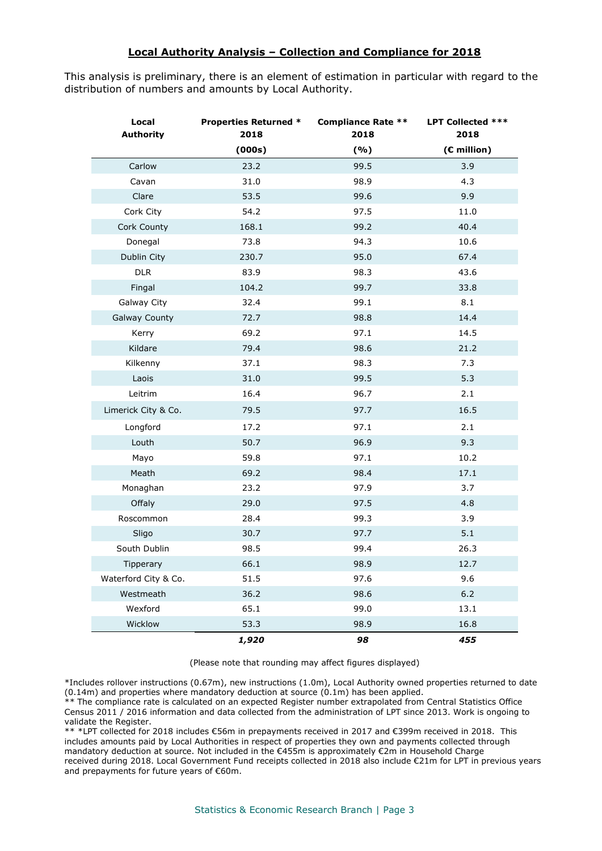#### **Local Authority Analysis – Collection and Compliance for 2018**

This analysis is preliminary, there is an element of estimation in particular with regard to the distribution of numbers and amounts by Local Authority.

| Local<br><b>Authority</b> | <b>Properties Returned *</b><br>2018 | Compliance Rate ** LPT Collected ***<br>2018 |             |
|---------------------------|--------------------------------------|----------------------------------------------|-------------|
|                           | (000s)                               | ( %)                                         | (€ million) |
| Carlow                    | 23.2                                 | 99.5                                         | 3.9         |
| Cavan                     | 31.0                                 | 98.9                                         | 4.3         |
| Clare                     | 53.5                                 | 99.6                                         | 9.9         |
| Cork City                 | 54.2                                 | 97.5                                         | 11.0        |
| Cork County               | 168.1                                | 99.2                                         | 40.4        |
| Donegal                   | 73.8                                 | 94.3                                         | 10.6        |
| Dublin City               | 230.7                                | 95.0                                         | 67.4        |
| <b>DLR</b>                | 83.9                                 | 98.3                                         | 43.6        |
| Fingal                    | 104.2                                | 99.7                                         | 33.8        |
| Galway City               | 32.4                                 | 99.1                                         | 8.1         |
| <b>Galway County</b>      | 72.7                                 | 98.8                                         | 14.4        |
| Kerry                     | 69.2                                 | 97.1                                         | 14.5        |
| Kildare                   | 79.4                                 | 98.6                                         | 21.2        |
| Kilkenny                  | 37.1                                 | 98.3                                         | 7.3         |
| Laois                     | 31.0                                 | 99.5                                         | 5.3         |
| Leitrim                   | 16.4                                 | 96.7                                         | 2.1         |
| Limerick City & Co.       | 79.5                                 | 97.7                                         | 16.5        |
| Longford                  | 17.2                                 | 97.1                                         | 2.1         |
| Louth                     | 50.7                                 | 96.9                                         | 9.3         |
| Mayo                      | 59.8                                 | 97.1                                         | 10.2        |
| Meath                     | 69.2                                 | 98.4                                         | 17.1        |
| Monaghan                  | 23.2                                 | 97.9                                         | 3.7         |
| Offaly                    | 29.0                                 | 97.5                                         | 4.8         |
| Roscommon                 | 28.4                                 | 99.3                                         | 3.9         |
| Sligo                     | 30.7                                 | 97.7                                         | 5.1         |
| South Dublin              | 98.5                                 | 99.4                                         | 26.3        |
| Tipperary                 | 66.1                                 | 98.9                                         | 12.7        |
| Waterford City & Co.      | 51.5                                 | 97.6                                         | 9.6         |
| Westmeath                 | 36.2                                 | 98.6                                         | $6.2\,$     |
| Wexford                   | 65.1                                 | 99.0                                         | 13.1        |
| Wicklow                   | 53.3                                 | 98.9                                         | 16.8        |
|                           | 1,920                                | 98                                           | 455         |

(Please note that rounding may affect figures displayed)

\*Includes rollover instructions (0.67m), new instructions (1.0m), Local Authority owned properties returned to date (0.14m) and properties where mandatory deduction at source (0.1m) has been applied.

\*\* The compliance rate is calculated on an expected Register number extrapolated from Central Statistics Office Census 2011 / 2016 information and data collected from the administration of LPT since 2013. Work is ongoing to validate the Register.

\*\* \*LPT collected for 2018 includes €56m in prepayments received in 2017 and €399m received in 2018. This includes amounts paid by Local Authorities in respect of properties they own and payments collected through mandatory deduction at source. Not included in the €455m is approximately €2m in Household Charge received during 2018. Local Government Fund receipts collected in 2018 also include €21m for LPT in previous years and prepayments for future years of €60m.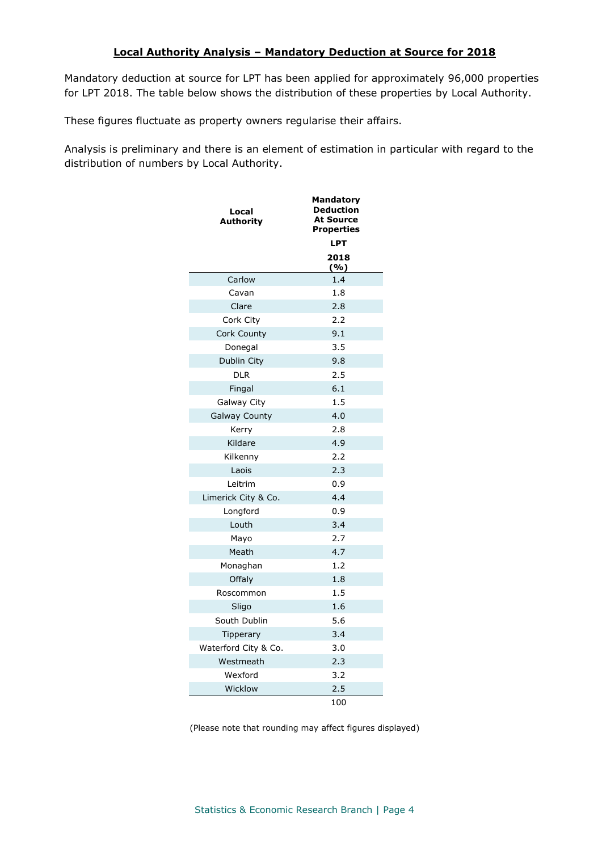#### **Local Authority Analysis – Mandatory Deduction at Source for 2018**

Mandatory deduction at source for LPT has been applied for approximately 96,000 properties for LPT 2018. The table below shows the distribution of these properties by Local Authority.

These figures fluctuate as property owners regularise their affairs.

Analysis is preliminary and there is an element of estimation in particular with regard to the distribution of numbers by Local Authority.

| Local<br>Authority   | <b>Mandatory</b><br><b>Deduction</b><br><b>At Source</b><br><b>Properties</b> |
|----------------------|-------------------------------------------------------------------------------|
|                      | <b>LPT</b>                                                                    |
|                      | 2018<br>( %)                                                                  |
| Carlow               | 1.4                                                                           |
| Cavan                | 1.8                                                                           |
| Clare                | 2.8                                                                           |
| Cork City            | 2.2                                                                           |
| Cork County          | 9.1                                                                           |
| Donegal              | 3.5                                                                           |
| Dublin City          | 9.8                                                                           |
| <b>DLR</b>           | 2.5                                                                           |
| Fingal               | 6.1                                                                           |
| Galway City          | 1.5                                                                           |
| <b>Galway County</b> | 4.0                                                                           |
| Kerry                | 2.8                                                                           |
| Kildare              | 4.9                                                                           |
| Kilkenny             | 2.2                                                                           |
| Laois                | 2.3                                                                           |
| Leitrim              | 0.9                                                                           |
| Limerick City & Co.  | 4.4                                                                           |
| Longford             | 0.9                                                                           |
| Louth                | 3.4                                                                           |
| Mayo                 | 2.7                                                                           |
| Meath                | 4.7                                                                           |
| Monaghan             | 1.2                                                                           |
| Offaly               | 1.8                                                                           |
| Roscommon            | 1.5                                                                           |
| Sligo                | 1.6                                                                           |
| South Dublin         | 5.6                                                                           |
| <b>Tipperary</b>     | 3.4                                                                           |
| Waterford City & Co. | 3.0                                                                           |
| Westmeath            | 2.3                                                                           |
| Wexford              | 3.2                                                                           |
| Wicklow              | 2.5                                                                           |
|                      | 100                                                                           |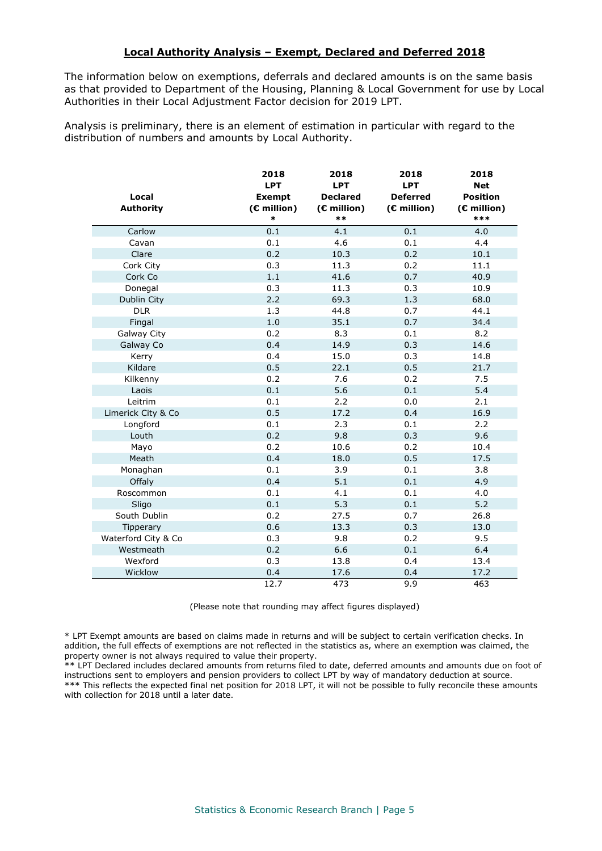#### **Local Authority Analysis – Exempt, Declared and Deferred 2018**

The information below on exemptions, deferrals and declared amounts is on the same basis as that provided to Department of the Housing, Planning & Local Government for use by Local Authorities in their Local Adjustment Factor decision for 2019 LPT.

Analysis is preliminary, there is an element of estimation in particular with regard to the distribution of numbers and amounts by Local Authority.

| Local<br><b>Authority</b> | 2018<br><b>LPT</b><br><b>Exempt</b><br>(€ million)<br>$\ast$ | 2018<br><b>LPT</b><br><b>Declared</b><br>$(E$ million)<br>$**$ | 2018<br><b>LPT</b><br><b>Deferred</b><br>$(E$ million) | 2018<br><b>Net</b><br><b>Position</b><br>$(E$ million)<br>*** |
|---------------------------|--------------------------------------------------------------|----------------------------------------------------------------|--------------------------------------------------------|---------------------------------------------------------------|
| Carlow                    | 0.1                                                          | 4.1                                                            | 0.1                                                    | 4.0                                                           |
| Cavan                     | 0.1                                                          | 4.6                                                            | 0.1                                                    | 4.4                                                           |
| Clare                     | 0.2                                                          | 10.3                                                           | 0.2                                                    | 10.1                                                          |
| Cork City                 | 0.3                                                          | 11.3                                                           | 0.2                                                    | 11.1                                                          |
| Cork Co                   | 1.1                                                          | 41.6                                                           | 0.7                                                    | 40.9                                                          |
| Donegal                   | 0.3                                                          | 11.3                                                           | 0.3                                                    | 10.9                                                          |
| Dublin City               | 2.2                                                          | 69.3                                                           | 1.3                                                    | 68.0                                                          |
| <b>DLR</b>                | 1.3                                                          | 44.8                                                           | 0.7                                                    | 44.1                                                          |
| Fingal                    | 1.0                                                          | 35.1                                                           | 0.7                                                    | 34.4                                                          |
| Galway City               | 0.2                                                          | 8.3                                                            | 0.1                                                    | 8.2                                                           |
| Galway Co                 | 0.4                                                          | 14.9                                                           | 0.3                                                    | 14.6                                                          |
| Kerry                     | 0.4                                                          | 15.0                                                           | 0.3                                                    | 14.8                                                          |
| Kildare                   | 0.5                                                          | 22.1                                                           | 0.5                                                    | 21.7                                                          |
| Kilkenny                  | 0.2                                                          | 7.6                                                            | 0.2                                                    | 7.5                                                           |
| Laois                     | 0.1                                                          | 5.6                                                            | 0.1                                                    | 5.4                                                           |
| Leitrim                   | 0.1                                                          | 2.2                                                            | 0.0                                                    | 2.1                                                           |
| Limerick City & Co        | 0.5                                                          | 17.2                                                           | 0.4                                                    | 16.9                                                          |
| Longford                  | 0.1                                                          | 2.3                                                            | 0.1                                                    | 2.2                                                           |
| Louth                     | 0.2                                                          | 9.8                                                            | 0.3                                                    | 9.6                                                           |
| Mayo                      | 0.2                                                          | 10.6                                                           | 0.2                                                    | 10.4                                                          |
| Meath                     | 0.4                                                          | 18.0                                                           | 0.5                                                    | 17.5                                                          |
| Monaghan                  | 0.1                                                          | 3.9                                                            | 0.1                                                    | 3.8                                                           |
| Offaly                    | 0.4                                                          | 5.1                                                            | 0.1                                                    | 4.9                                                           |
| Roscommon                 | 0.1                                                          | 4.1                                                            | 0.1                                                    | 4.0                                                           |
| Sligo                     | 0.1                                                          | 5.3                                                            | 0.1                                                    | 5.2                                                           |
| South Dublin              | 0.2                                                          | 27.5                                                           | 0.7                                                    | 26.8                                                          |
| Tipperary                 | 0.6                                                          | 13.3                                                           | 0.3                                                    | 13.0                                                          |
| Waterford City & Co       | 0.3                                                          | 9.8                                                            | 0.2                                                    | 9.5                                                           |
| Westmeath                 | 0.2                                                          | 6.6                                                            | 0.1                                                    | 6.4                                                           |
| Wexford                   | 0.3                                                          | 13.8                                                           | 0.4                                                    | 13.4                                                          |
| Wicklow                   | 0.4                                                          | 17.6                                                           | 0.4                                                    | 17.2                                                          |
|                           | 12.7                                                         | 473                                                            | 9.9                                                    | 463                                                           |

(Please note that rounding may affect figures displayed)

\* LPT Exempt amounts are based on claims made in returns and will be subject to certain verification checks. In addition, the full effects of exemptions are not reflected in the statistics as, where an exemption was claimed, the property owner is not always required to value their property.

\*\* LPT Declared includes declared amounts from returns filed to date, deferred amounts and amounts due on foot of instructions sent to employers and pension providers to collect LPT by way of mandatory deduction at source. \*\*\* This reflects the expected final net position for 2018 LPT, it will not be possible to fully reconcile these amounts with collection for 2018 until a later date.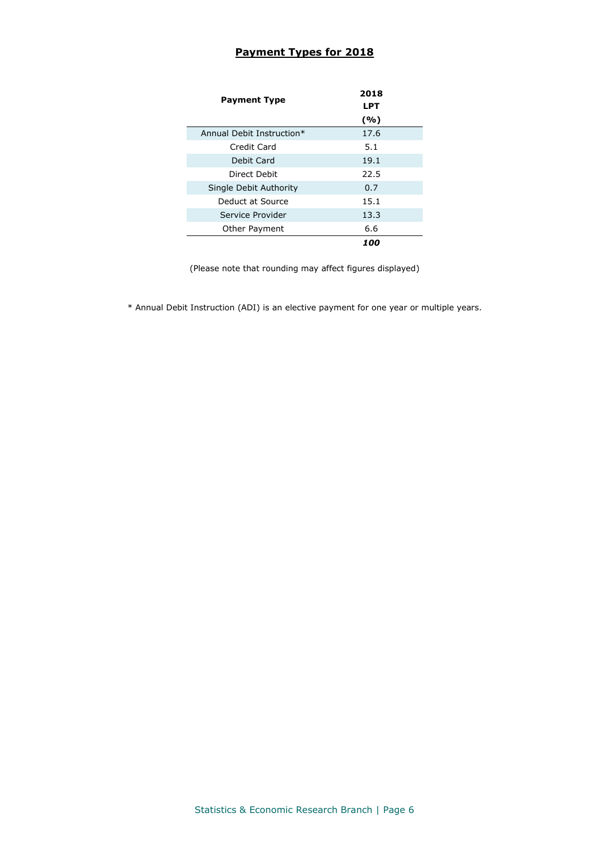## **Payment Types for 2018**

| <b>Payment Type</b>       | 2018<br>LPT |  |  |
|---------------------------|-------------|--|--|
|                           | (%)         |  |  |
| Annual Debit Instruction* | 17.6        |  |  |
| Credit Card               | 5.1         |  |  |
| Debit Card                | 19.1        |  |  |
| Direct Debit              | 22.5        |  |  |
| Single Debit Authority    | 0.7         |  |  |
| Deduct at Source          | 15.1        |  |  |
| Service Provider          | 13.3        |  |  |
| Other Payment             | 6.6         |  |  |
|                           | 100         |  |  |

(Please note that rounding may affect figures displayed)

\* Annual Debit Instruction (ADI) is an elective payment for one year or multiple years.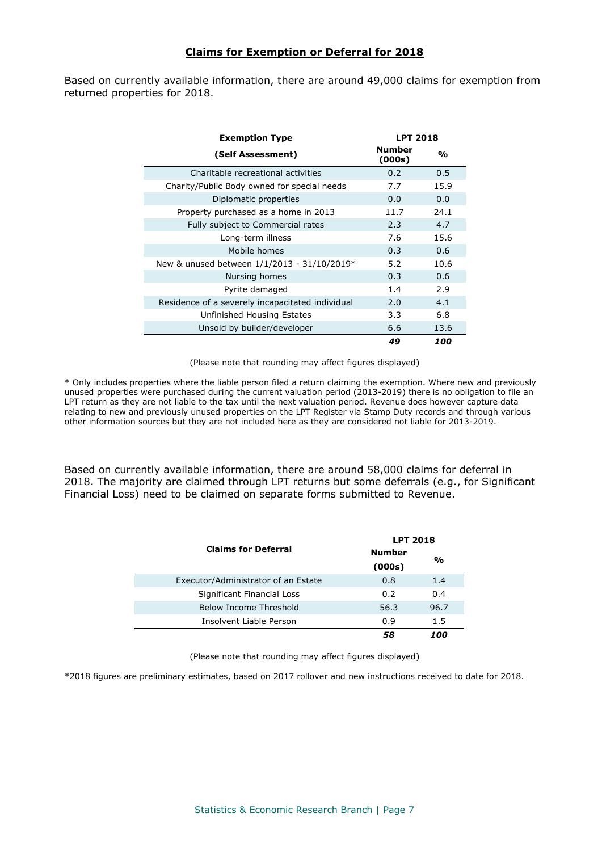#### **Claims for Exemption or Deferral for 2018**

Based on currently available information, there are around 49,000 claims for exemption from returned properties for 2018.

| <b>Exemption Type</b>                            | <b>LPT 2018</b>         |               |
|--------------------------------------------------|-------------------------|---------------|
| (Self Assessment)                                | <b>Number</b><br>(000s) | $\frac{0}{0}$ |
| Charitable recreational activities               | 0.2                     | 0.5           |
| Charity/Public Body owned for special needs      | 7.7                     | 15.9          |
| Diplomatic properties                            | 0.0                     | 0.0           |
| Property purchased as a home in 2013             | 11.7                    | 24.1          |
| Fully subject to Commercial rates                | 2.3                     | 4.7           |
| Long-term illness                                | 7.6                     | 15.6          |
| Mobile homes                                     | 0.3                     | 0.6           |
| New & unused between $1/1/2013 - 31/10/2019*$    | 5.2                     | 10.6          |
| Nursing homes                                    | 0.3                     | 0.6           |
| Pyrite damaged                                   | 1.4                     | 2.9           |
| Residence of a severely incapacitated individual | 2.0                     | 4.1           |
| Unfinished Housing Estates                       | 3.3                     | 6.8           |
| Unsold by builder/developer                      | 6.6                     | 13.6          |
|                                                  | 49                      | 100           |

(Please note that rounding may affect figures displayed)

\* Only includes properties where the liable person filed a return claiming the exemption. Where new and previously unused properties were purchased during the current valuation period (2013-2019) there is no obligation to file an LPT return as they are not liable to the tax until the next valuation period. Revenue does however capture data relating to new and previously unused properties on the LPT Register via Stamp Duty records and through various other information sources but they are not included here as they are considered not liable for 2013-2019.

Based on currently available information, there are around 58,000 claims for deferral in 2018. The majority are claimed through LPT returns but some deferrals (e.g., for Significant Financial Loss) need to be claimed on separate forms submitted to Revenue.

|                                     | <b>LPT 2018</b> |               |  |  |
|-------------------------------------|-----------------|---------------|--|--|
| <b>Claims for Deferral</b>          | <b>Number</b>   | $\frac{0}{0}$ |  |  |
|                                     | (000s)          |               |  |  |
| Executor/Administrator of an Estate | 0.8             | 1.4           |  |  |
| Significant Financial Loss          | 0.2             | 0.4           |  |  |
| Below Income Threshold              | 56.3            | 96.7          |  |  |
| Insolvent Liable Person             | 0.9             | 1.5           |  |  |
|                                     | 58              | 100           |  |  |

(Please note that rounding may affect figures displayed)

\*2018 figures are preliminary estimates, based on 2017 rollover and new instructions received to date for 2018.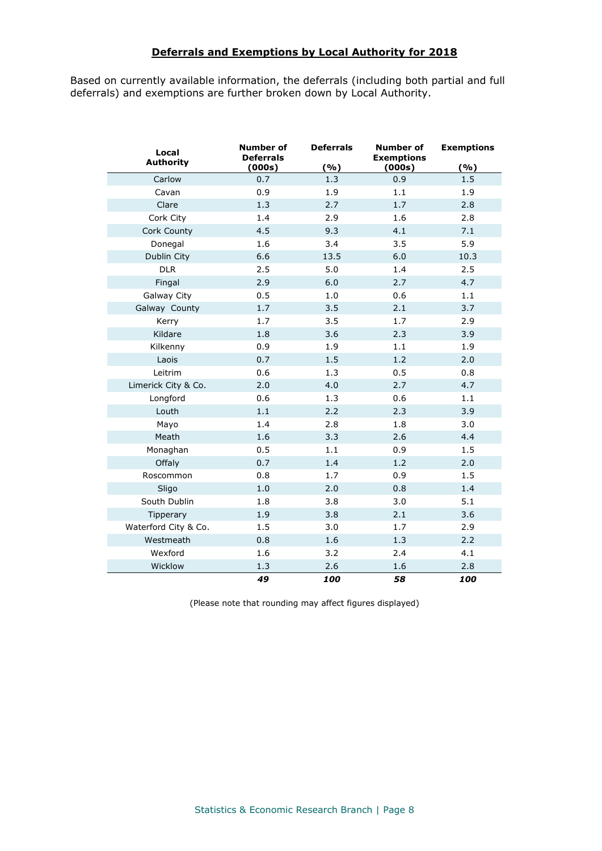#### **Deferrals and Exemptions by Local Authority for 2018**

Based on currently available information, the deferrals (including both partial and full deferrals) and exemptions are further broken down by Local Authority.

| Local<br><b>Authority</b> | Number of<br><b>Deferrals</b><br>(000s) | <b>Deferrals</b><br>(%) | <b>Number of</b><br><b>Exemptions</b><br>(000s) | <b>Exemptions</b><br>( %) |
|---------------------------|-----------------------------------------|-------------------------|-------------------------------------------------|---------------------------|
| Carlow                    | 0.7                                     | 1.3                     | 0.9                                             | 1.5                       |
| Cavan                     | 0.9                                     | 1.9                     | 1.1                                             | 1.9                       |
| Clare                     | 1.3                                     | 2.7                     | 1.7                                             | 2.8                       |
| Cork City                 | 1.4                                     | 2.9                     | 1.6                                             | 2.8                       |
| Cork County               | 4.5                                     | 9.3                     | 4.1                                             | 7.1                       |
| Donegal                   | 1.6                                     | 3.4                     | 3.5                                             | 5.9                       |
| Dublin City               | 6.6                                     | 13.5                    | 6.0                                             | 10.3                      |
| <b>DLR</b>                | 2.5                                     | 5.0                     | 1.4                                             | 2.5                       |
| Fingal                    | 2.9                                     | 6.0                     | 2.7                                             | 4.7                       |
| Galway City               | 0.5                                     | 1.0                     | 0.6                                             | 1.1                       |
| Galway County             | 1.7                                     | 3.5                     | 2.1                                             | 3.7                       |
| Kerry                     | 1.7                                     | 3.5                     | 1.7                                             | 2.9                       |
| Kildare                   | 1.8                                     | 3.6                     | 2.3                                             | 3.9                       |
| Kilkenny                  | 0.9                                     | 1.9                     | 1.1                                             | 1.9                       |
| Laois                     | 0.7                                     | 1.5                     | 1.2                                             | 2.0                       |
| Leitrim                   | 0.6                                     | 1.3                     | 0.5                                             | 0.8                       |
| Limerick City & Co.       | 2.0                                     | 4.0                     | 2.7                                             | 4.7                       |
| Longford                  | 0.6                                     | 1.3                     | 0.6                                             | 1.1                       |
| Louth                     | 1.1                                     | 2.2                     | 2.3                                             | 3.9                       |
| Mayo                      | 1.4                                     | 2.8                     | 1.8                                             | 3.0                       |
| Meath                     | 1.6                                     | 3.3                     | 2.6                                             | 4.4                       |
| Monaghan                  | 0.5                                     | 1.1                     | 0.9                                             | 1.5                       |
| Offaly                    | 0.7                                     | 1.4                     | 1.2                                             | 2.0                       |
| Roscommon                 | 0.8                                     | 1.7                     | 0.9                                             | 1.5                       |
| Sligo                     | 1.0                                     | 2.0                     | 0.8                                             | 1.4                       |
| South Dublin              | 1.8                                     | 3.8                     | 3.0                                             | 5.1                       |
| Tipperary                 | 1.9                                     | 3.8                     | 2.1                                             | 3.6                       |
| Waterford City & Co.      | 1.5                                     | 3.0                     | 1.7                                             | 2.9                       |
| Westmeath                 | 0.8                                     | 1.6                     | 1.3                                             | 2.2                       |
| Wexford                   | 1.6                                     | 3.2                     | 2.4                                             | 4.1                       |
| Wicklow                   | 1.3                                     | 2.6                     | 1.6                                             | 2.8                       |
|                           | 49                                      | 100                     | 58                                              | 100                       |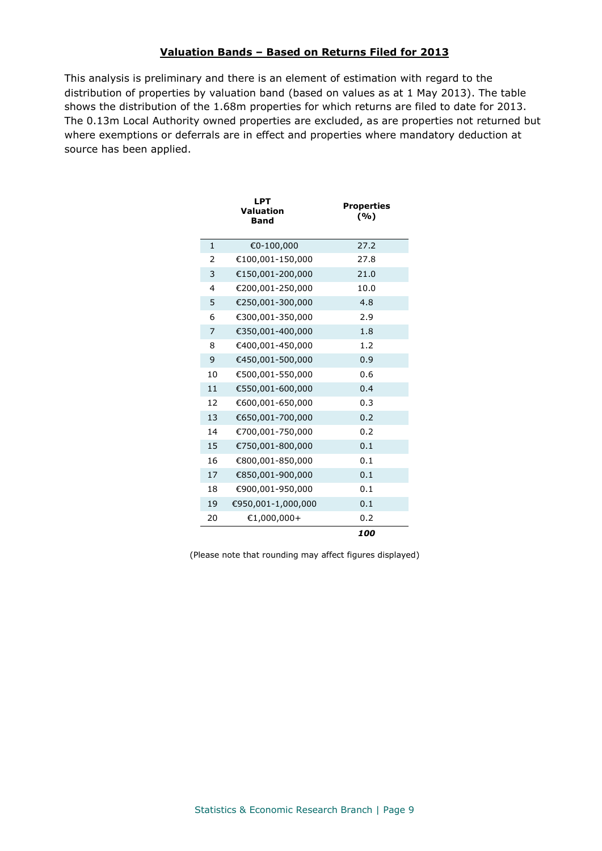#### **Valuation Bands – Based on Returns Filed for 2013**

This analysis is preliminary and there is an element of estimation with regard to the distribution of properties by valuation band (based on values as at 1 May 2013). The table shows the distribution of the 1.68m properties for which returns are filed to date for 2013. The 0.13m Local Authority owned properties are excluded, as are properties not returned but where exemptions or deferrals are in effect and properties where mandatory deduction at source has been applied.

|              | LPT<br>Valuation<br><b>Band</b> | <b>Properties</b><br>(%) |  |
|--------------|---------------------------------|--------------------------|--|
| $\mathbf{1}$ | €0-100,000                      | 27.2                     |  |
| 2            | €100,001-150,000                | 27.8                     |  |
| 3            | €150,001-200,000                | 21.0                     |  |
| 4            | €200,001-250,000                | 10.0                     |  |
| 5            | €250,001-300,000                | 4.8                      |  |
| 6            | €300,001-350,000                | 2.9                      |  |
| 7            | €350,001-400,000                | 1.8                      |  |
| 8            | €400,001-450,000                | 1.2                      |  |
| 9            | €450,001-500,000                | 0.9                      |  |
| 10           | €500,001-550,000                | 0.6                      |  |
| 11           | €550,001-600,000                | 0.4                      |  |
| 12           | €600,001-650,000                | 0.3                      |  |
| 13           | €650,001-700,000                | 0.2                      |  |
| 14           | €700,001-750,000                | 0.2                      |  |
| 15           | €750,001-800,000                | 0.1                      |  |
| 16           | €800,001-850,000                | 0.1                      |  |
| 17           | €850,001-900,000                | 0.1                      |  |
| 18           | €900,001-950,000                | 0.1                      |  |
| 19           | €950,001-1,000,000              | 0.1                      |  |
| 20           | $€1,000,000+$                   | 0.2                      |  |
|              |                                 | 100                      |  |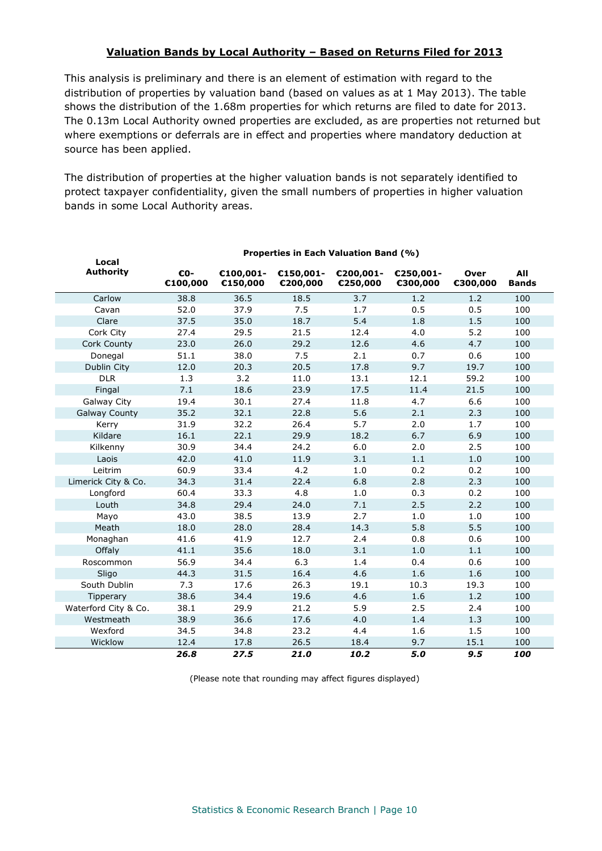#### **Valuation Bands by Local Authority – Based on Returns Filed for 2013**

This analysis is preliminary and there is an element of estimation with regard to the distribution of properties by valuation band (based on values as at 1 May 2013). The table shows the distribution of the 1.68m properties for which returns are filed to date for 2013. The 0.13m Local Authority owned properties are excluded, as are properties not returned but where exemptions or deferrals are in effect and properties where mandatory deduction at source has been applied.

The distribution of properties at the higher valuation bands is not separately identified to protect taxpayer confidentiality, given the small numbers of properties in higher valuation bands in some Local Authority areas.

| Local                | Properties in Each Valuation Band (%) |                       |                       |                       |                       |                         |                     |
|----------------------|---------------------------------------|-----------------------|-----------------------|-----------------------|-----------------------|-------------------------|---------------------|
| <b>Authority</b>     | €0-<br>€100,000                       | €100,001-<br>€150,000 | €150,001-<br>€200,000 | €200,001-<br>€250,000 | €250,001-<br>€300,000 | <b>Over</b><br>€300,000 | All<br><b>Bands</b> |
| Carlow               | 38.8                                  | 36.5                  | 18.5                  | 3.7                   | 1.2                   | 1.2                     | 100                 |
| Cavan                | 52.0                                  | 37.9                  | 7.5                   | 1.7                   | 0.5                   | 0.5                     | 100                 |
| Clare                | 37.5                                  | 35.0                  | 18.7                  | 5.4                   | 1.8                   | 1.5                     | 100                 |
| Cork City            | 27.4                                  | 29.5                  | 21.5                  | 12.4                  | 4.0                   | 5.2                     | 100                 |
| Cork County          | 23.0                                  | 26.0                  | 29.2                  | 12.6                  | 4.6                   | 4.7                     | 100                 |
| Donegal              | 51.1                                  | 38.0                  | 7.5                   | 2.1                   | 0.7                   | 0.6                     | 100                 |
| Dublin City          | 12.0                                  | 20.3                  | 20.5                  | 17.8                  | 9.7                   | 19.7                    | 100                 |
| <b>DLR</b>           | 1.3                                   | 3.2                   | 11.0                  | 13.1                  | 12.1                  | 59.2                    | 100                 |
| Fingal               | 7.1                                   | 18.6                  | 23.9                  | 17.5                  | 11.4                  | 21.5                    | 100                 |
| Galway City          | 19.4                                  | 30.1                  | 27.4                  | 11.8                  | 4.7                   | 6.6                     | 100                 |
| <b>Galway County</b> | 35.2                                  | 32.1                  | 22.8                  | 5.6                   | 2.1                   | 2.3                     | 100                 |
| Kerry                | 31.9                                  | 32.2                  | 26.4                  | 5.7                   | 2.0                   | 1.7                     | 100                 |
| Kildare              | 16.1                                  | 22.1                  | 29.9                  | 18.2                  | 6.7                   | 6.9                     | 100                 |
| Kilkenny             | 30.9                                  | 34.4                  | 24.2                  | 6.0                   | 2.0                   | 2.5                     | 100                 |
| Laois                | 42.0                                  | 41.0                  | 11.9                  | 3.1                   | 1.1                   | $1.0\,$                 | 100                 |
| Leitrim              | 60.9                                  | 33.4                  | 4.2                   | $1.0$                 | 0.2                   | 0.2                     | 100                 |
| Limerick City & Co.  | 34.3                                  | 31.4                  | 22.4                  | 6.8                   | 2.8                   | 2.3                     | 100                 |
| Longford             | 60.4                                  | 33.3                  | 4.8                   | 1.0                   | 0.3                   | 0.2                     | 100                 |
| Louth                | 34.8                                  | 29.4                  | 24.0                  | 7.1                   | 2.5                   | 2.2                     | 100                 |
| Mayo                 | 43.0                                  | 38.5                  | 13.9                  | 2.7                   | 1.0                   | 1.0                     | 100                 |
| Meath                | 18.0                                  | 28.0                  | 28.4                  | 14.3                  | 5.8                   | 5.5                     | 100                 |
| Monaghan             | 41.6                                  | 41.9                  | 12.7                  | 2.4                   | 0.8                   | 0.6                     | 100                 |
| Offaly               | 41.1                                  | 35.6                  | 18.0                  | 3.1                   | 1.0                   | 1.1                     | 100                 |
| Roscommon            | 56.9                                  | 34.4                  | 6.3                   | 1.4                   | 0.4                   | 0.6                     | 100                 |
| Sligo                | 44.3                                  | 31.5                  | 16.4                  | 4.6                   | 1.6                   | 1.6                     | 100                 |
| South Dublin         | 7.3                                   | 17.6                  | 26.3                  | 19.1                  | 10.3                  | 19.3                    | 100                 |
| Tipperary            | 38.6                                  | 34.4                  | 19.6                  | 4.6                   | 1.6                   | 1.2                     | 100                 |
| Waterford City & Co. | 38.1                                  | 29.9                  | 21.2                  | 5.9                   | 2.5                   | 2.4                     | 100                 |
| Westmeath            | 38.9                                  | 36.6                  | 17.6                  | 4.0                   | 1.4                   | 1.3                     | 100                 |
| Wexford              | 34.5                                  | 34.8                  | 23.2                  | 4.4                   | 1.6                   | 1.5                     | 100                 |
| Wicklow              | 12.4                                  | 17.8                  | 26.5                  | 18.4                  | 9.7                   | 15.1                    | 100                 |
|                      | 26.8                                  | 27.5                  | 21.0                  | 10.2                  | 5.0                   | 9.5                     | 100                 |

### **Properties in Each Valuation Band (%)**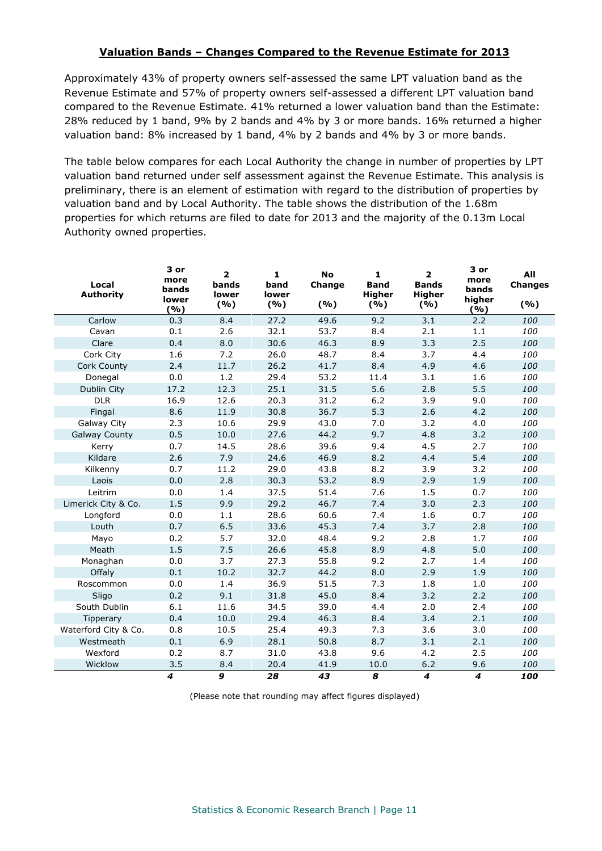#### **Valuation Bands – Changes Compared to the Revenue Estimate for 2013**

Approximately 43% of property owners self-assessed the same LPT valuation band as the Revenue Estimate and 57% of property owners self-assessed a different LPT valuation band compared to the Revenue Estimate. 41% returned a lower valuation band than the Estimate: 28% reduced by 1 band, 9% by 2 bands and 4% by 3 or more bands. 16% returned a higher valuation band: 8% increased by 1 band, 4% by 2 bands and 4% by 3 or more bands.

The table below compares for each Local Authority the change in number of properties by LPT valuation band returned under self assessment against the Revenue Estimate. This analysis is preliminary, there is an element of estimation with regard to the distribution of properties by valuation band and by Local Authority. The table shows the distribution of the 1.68m properties for which returns are filed to date for 2013 and the majority of the 0.13m Local Authority owned properties.

| Local<br><b>Authority</b> | 3 or<br>more<br>bands<br>lower<br>(%) | $\overline{\mathbf{2}}$<br>bands<br>lower<br>(%) | $\mathbf{1}$<br>band<br>lower<br>(%) | <b>No</b><br>Change<br>(%) | $\mathbf{1}$<br><b>Band</b><br><b>Higher</b><br>(%) | $\overline{\mathbf{2}}$<br><b>Bands</b><br><b>Higher</b><br>(%) | 3 or<br>more<br>bands<br>higher<br>(%) | All<br><b>Changes</b><br>(%) |
|---------------------------|---------------------------------------|--------------------------------------------------|--------------------------------------|----------------------------|-----------------------------------------------------|-----------------------------------------------------------------|----------------------------------------|------------------------------|
| Carlow                    | 0.3                                   | 8.4                                              | 27.2                                 | 49.6                       | 9.2                                                 | 3.1                                                             | 2.2                                    | 100                          |
| Cavan                     | 0.1                                   | 2.6                                              | 32.1                                 | 53.7                       | 8.4                                                 | 2.1                                                             | $1.1\,$                                | 100                          |
| Clare                     | 0.4                                   | 8.0                                              | 30.6                                 | 46.3                       | 8.9                                                 | 3.3                                                             | 2.5                                    | 100                          |
| Cork City                 | 1.6                                   | 7.2                                              | 26.0                                 | 48.7                       | 8.4                                                 | 3.7                                                             | 4.4                                    | 100                          |
| Cork County               | 2.4                                   | 11.7                                             | 26.2                                 | 41.7                       | 8.4                                                 | 4.9                                                             | 4.6                                    | 100                          |
| Donegal                   | 0.0                                   | 1.2                                              | 29.4                                 | 53.2                       | 11.4                                                | 3.1                                                             | 1.6                                    | 100                          |
| Dublin City               | 17.2                                  | 12.3                                             | 25.1                                 | 31.5                       | 5.6                                                 | 2.8                                                             | 5.5                                    | 100                          |
| <b>DLR</b>                | 16.9                                  | 12.6                                             | 20.3                                 | 31.2                       | $6.2$                                               | 3.9                                                             | 9.0                                    | 100                          |
| Fingal                    | 8.6                                   | 11.9                                             | 30.8                                 | 36.7                       | 5.3                                                 | 2.6                                                             | 4.2                                    | 100                          |
| Galway City               | 2.3                                   | 10.6                                             | 29.9                                 | 43.0                       | 7.0                                                 | 3.2                                                             | 4.0                                    | 100                          |
| <b>Galway County</b>      | 0.5                                   | 10.0                                             | 27.6                                 | 44.2                       | 9.7                                                 | 4.8                                                             | 3.2                                    | 100                          |
| Kerry                     | 0.7                                   | 14.5                                             | 28.6                                 | 39.6                       | 9.4                                                 | 4.5                                                             | 2.7                                    | 100                          |
| Kildare                   | 2.6                                   | 7.9                                              | 24.6                                 | 46.9                       | 8.2                                                 | 4.4                                                             | 5.4                                    | 100                          |
| Kilkenny                  | 0.7                                   | 11.2                                             | 29.0                                 | 43.8                       | 8.2                                                 | 3.9                                                             | 3.2                                    | 100                          |
| Laois                     | 0.0                                   | 2.8                                              | 30.3                                 | 53.2                       | 8.9                                                 | 2.9                                                             | 1.9                                    | 100                          |
| Leitrim                   | 0.0                                   | 1.4                                              | 37.5                                 | 51.4                       | 7.6                                                 | 1.5                                                             | 0.7                                    | 100                          |
| Limerick City & Co.       | 1.5                                   | 9.9                                              | 29.2                                 | 46.7                       | 7.4                                                 | 3.0                                                             | 2.3                                    | 100                          |
| Longford                  | 0.0                                   | 1.1                                              | 28.6                                 | 60.6                       | 7.4                                                 | 1.6                                                             | $0.7\,$                                | 100                          |
| Louth                     | 0.7                                   | 6.5                                              | 33.6                                 | 45.3                       | 7.4                                                 | 3.7                                                             | 2.8                                    | 100                          |
| Mayo                      | 0.2                                   | 5.7                                              | 32.0                                 | 48.4                       | 9.2                                                 | 2.8                                                             | 1.7                                    | 100                          |
| Meath                     | 1.5                                   | 7.5                                              | 26.6                                 | 45.8                       | 8.9                                                 | 4.8                                                             | 5.0                                    | 100                          |
| Monaghan                  | 0.0                                   | 3.7                                              | 27.3                                 | 55.8                       | 9.2                                                 | 2.7                                                             | 1.4                                    | 100                          |
| Offaly                    | 0.1                                   | 10.2                                             | 32.7                                 | 44.2                       | 8.0                                                 | 2.9                                                             | 1.9                                    | 100                          |
| Roscommon                 | 0.0                                   | 1.4                                              | 36.9                                 | 51.5                       | 7.3                                                 | 1.8                                                             | 1.0                                    | 100                          |
| Sligo                     | 0.2                                   | 9.1                                              | 31.8                                 | 45.0                       | 8.4                                                 | 3.2                                                             | 2.2                                    | 100                          |
| South Dublin              | 6.1                                   | 11.6                                             | 34.5                                 | 39.0                       | 4.4                                                 | 2.0                                                             | 2.4                                    | 100                          |
| Tipperary                 | 0.4                                   | 10.0                                             | 29.4                                 | 46.3                       | 8.4                                                 | 3.4                                                             | 2.1                                    | 100                          |
| Waterford City & Co.      | 0.8                                   | 10.5                                             | 25.4                                 | 49.3                       | 7.3                                                 | 3.6                                                             | 3.0                                    | 100                          |
| Westmeath                 | $0.1\,$                               | 6.9                                              | 28.1                                 | 50.8                       | 8.7                                                 | 3.1                                                             | 2.1                                    | 100                          |
| Wexford                   | 0.2                                   | 8.7                                              | 31.0                                 | 43.8                       | 9.6                                                 | 4.2                                                             | 2.5                                    | 100                          |
| Wicklow                   | 3.5                                   | 8.4                                              | 20.4                                 | 41.9                       | 10.0                                                | $6.2$                                                           | 9.6                                    | 100                          |
|                           | 4                                     | 9                                                | 28                                   | 43                         | 8                                                   | $\overline{\boldsymbol{4}}$                                     | $\overline{4}$                         | 100                          |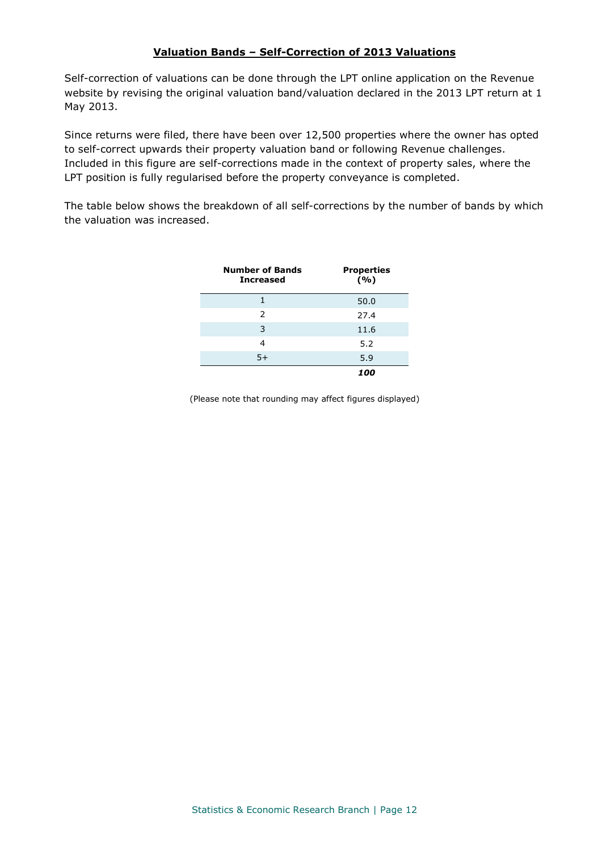#### **Valuation Bands – Self-Correction of 2013 Valuations**

Self-correction of valuations can be done through the LPT online application on the Revenue website by revising the original valuation band/valuation declared in the 2013 LPT return at 1 May 2013.

Since returns were filed, there have been over 12,500 properties where the owner has opted to self-correct upwards their property valuation band or following Revenue challenges. Included in this figure are self-corrections made in the context of property sales, where the LPT position is fully regularised before the property conveyance is completed.

The table below shows the breakdown of all self-corrections by the number of bands by which the valuation was increased.

| <b>Number of Bands</b><br><b>Increased</b> | <b>Properties</b><br>(%) |
|--------------------------------------------|--------------------------|
|                                            | 50.0                     |
| 2                                          | 27.4                     |
| 3                                          | 11.6                     |
| 4                                          | 5.2                      |
| $5+$                                       | 5.9                      |
|                                            | 100                      |